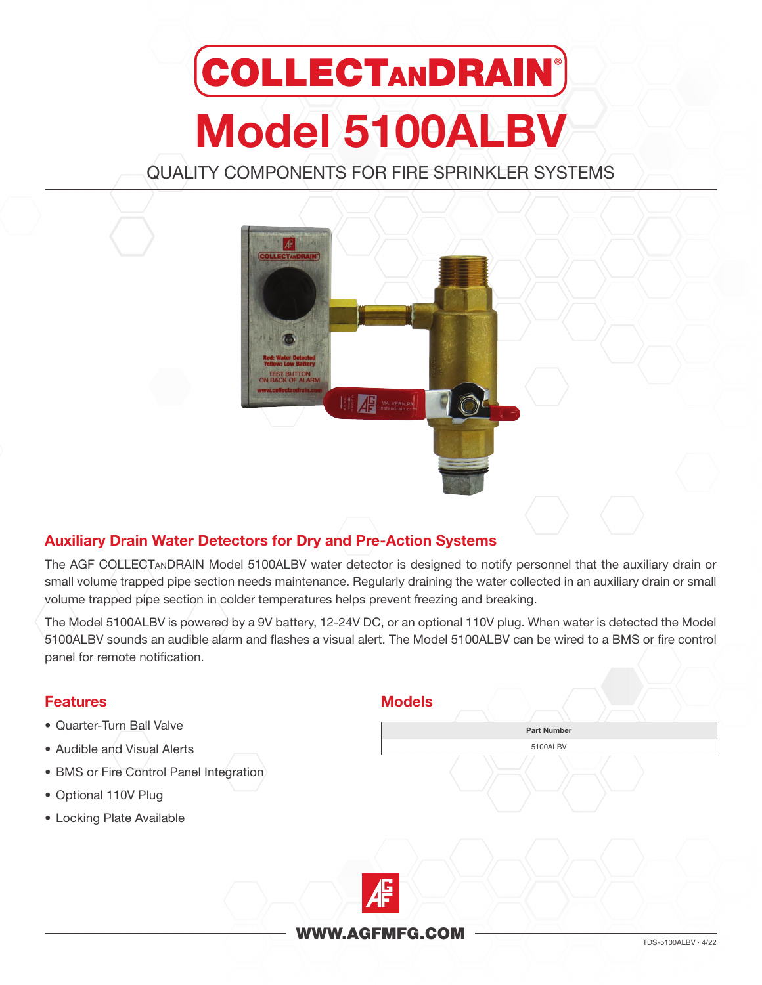# **COLLECTANDRAIN®** Model 5100ALBV

QUALITY COMPONENTS FOR FIRE SPRINKLER SYSTEMS



## Auxiliary Drain Water Detectors for Dry and Pre-Action Systems

The AGF COLLECTanDRAIN Model 5100ALBV water detector is designed to notify personnel that the auxiliary drain or small volume trapped pipe section needs maintenance. Regularly draining the water collected in an auxiliary drain or small volume trapped pipe section in colder temperatures helps prevent freezing and breaking.

The Model 5100ALBV is powered by a 9V battery, 12-24V DC, or an optional 110V plug. When water is detected the Model 5100ALBV sounds an audible alarm and flashes a visual alert. The Model 5100ALBV can be wired to a BMS or fire control panel for remote notification.

# $\begin{array}{c}\n\hline\n\text{WWW.AGFMFG.COM}\n\end{array}$ Features • Quarter-Turn Ball Valve • Audible and Visual Alerts • BMS or Fire Control Panel Integration • Optional 110V Plug • Locking Plate Available Models Part Number 5100ALBV